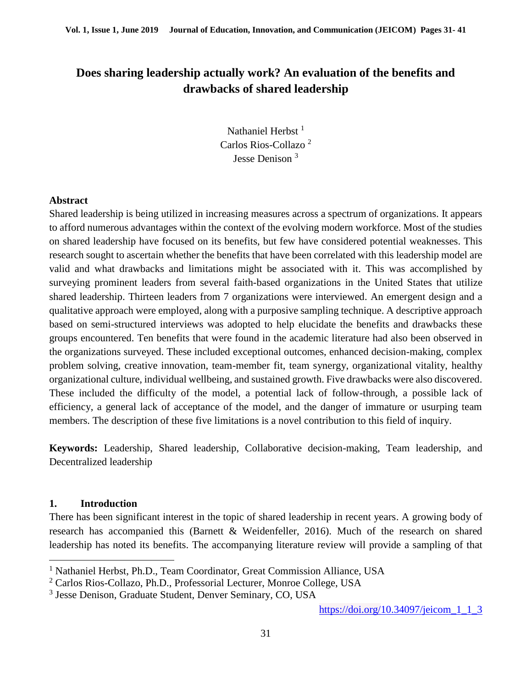# **Does sharing leadership actually work? An evaluation of the benefits and drawbacks of shared leadership**

Nathaniel Herbst<sup>1</sup> Carlos Rios-Collazo <sup>2</sup> Jesse Denison <sup>3</sup>

#### **Abstract**

Shared leadership is being utilized in increasing measures across a spectrum of organizations. It appears to afford numerous advantages within the context of the evolving modern workforce. Most of the studies on shared leadership have focused on its benefits, but few have considered potential weaknesses. This research sought to ascertain whether the benefits that have been correlated with this leadership model are valid and what drawbacks and limitations might be associated with it. This was accomplished by surveying prominent leaders from several faith-based organizations in the United States that utilize shared leadership. Thirteen leaders from 7 organizations were interviewed. An emergent design and a qualitative approach were employed, along with a purposive sampling technique. A descriptive approach based on semi-structured interviews was adopted to help elucidate the benefits and drawbacks these groups encountered. Ten benefits that were found in the academic literature had also been observed in the organizations surveyed. These included exceptional outcomes, enhanced decision-making, complex problem solving, creative innovation, team-member fit, team synergy, organizational vitality, healthy organizational culture, individual wellbeing, and sustained growth. Five drawbacks were also discovered. These included the difficulty of the model, a potential lack of follow-through, a possible lack of efficiency, a general lack of acceptance of the model, and the danger of immature or usurping team members. The description of these five limitations is a novel contribution to this field of inquiry.

**Keywords:** Leadership, Shared leadership, Collaborative decision-making, Team leadership, and Decentralized leadership

#### **1. Introduction**

 $\overline{a}$ 

There has been significant interest in the topic of shared leadership in recent years. A growing body of research has accompanied this (Barnett & Weidenfeller, 2016). Much of the research on shared leadership has noted its benefits. The accompanying literature review will provide a sampling of that

<sup>&</sup>lt;sup>1</sup> Nathaniel Herbst, Ph.D., Team Coordinator, Great Commission Alliance, USA

<sup>2</sup> Carlos Rios-Collazo, Ph.D., Professorial Lecturer, Monroe College, USA

<sup>3</sup> Jesse Denison, Graduate Student, Denver Seminary, CO, USA

https://doi.org/10.34097/jeicom 1 1 3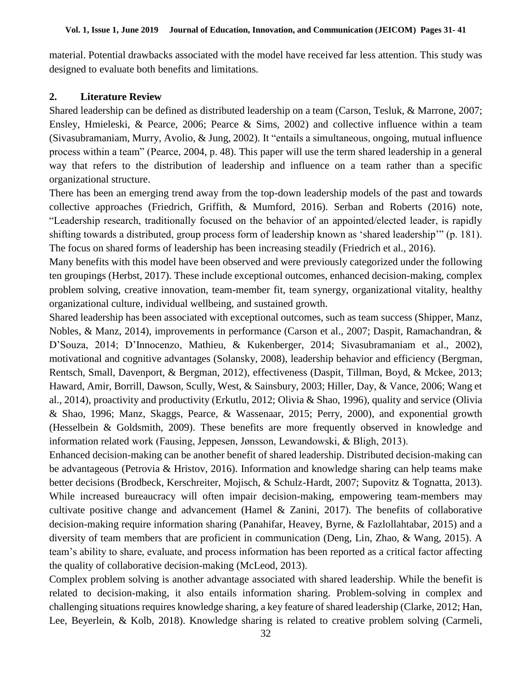material. Potential drawbacks associated with the model have received far less attention. This study was designed to evaluate both benefits and limitations.

## **2. Literature Review**

Shared leadership can be defined as distributed leadership on a team (Carson, Tesluk, & Marrone, 2007; Ensley, Hmieleski, & Pearce, 2006; Pearce & Sims, 2002) and collective influence within a team (Sivasubramaniam, Murry, Avolio, & Jung, 2002). It "entails a simultaneous, ongoing, mutual influence process within a team" (Pearce, 2004, p. 48). This paper will use the term shared leadership in a general way that refers to the distribution of leadership and influence on a team rather than a specific organizational structure.

There has been an emerging trend away from the top-down leadership models of the past and towards collective approaches (Friedrich, Griffith, & Mumford, 2016). Serban and Roberts (2016) note, "Leadership research, traditionally focused on the behavior of an appointed/elected leader, is rapidly shifting towards a distributed, group process form of leadership known as 'shared leadership'" (p. 181). The focus on shared forms of leadership has been increasing steadily (Friedrich et al., 2016).

Many benefits with this model have been observed and were previously categorized under the following ten groupings (Herbst, 2017). These include exceptional outcomes, enhanced decision-making, complex problem solving, creative innovation, team-member fit, team synergy, organizational vitality, healthy organizational culture, individual wellbeing, and sustained growth.

Shared leadership has been associated with exceptional outcomes, such as team success (Shipper, Manz, Nobles, & Manz, 2014), improvements in performance (Carson et al., 2007; Daspit, Ramachandran, & D'Souza, 2014; D'Innocenzo, Mathieu, & Kukenberger, 2014; Sivasubramaniam et al., 2002), motivational and cognitive advantages (Solansky, 2008), leadership behavior and efficiency (Bergman, Rentsch, Small, Davenport, & Bergman, 2012), effectiveness (Daspit, Tillman, Boyd, & Mckee, 2013; Haward, Amir, Borrill, Dawson, Scully, West, & Sainsbury, 2003; Hiller, Day, & Vance, 2006; Wang et al., 2014), proactivity and productivity (Erkutlu, 2012; Olivia & Shao, 1996), quality and service (Olivia & Shao, 1996; Manz, Skaggs, Pearce, & Wassenaar, 2015; Perry, 2000), and exponential growth (Hesselbein & Goldsmith, 2009). These benefits are more frequently observed in knowledge and information related work (Fausing, Jeppesen, Jønsson, Lewandowski, & Bligh, 2013).

Enhanced decision-making can be another benefit of shared leadership. Distributed decision-making can be advantageous (Petrovia & Hristov, 2016). Information and knowledge sharing can help teams make better decisions (Brodbeck, Kerschreiter, Mojisch, & Schulz-Hardt, 2007; Supovitz & Tognatta, 2013). While increased bureaucracy will often impair decision-making, empowering team-members may cultivate positive change and advancement (Hamel & Zanini, 2017). The benefits of collaborative decision-making require information sharing (Panahifar, Heavey, Byrne, & Fazlollahtabar, 2015) and a diversity of team members that are proficient in communication (Deng, Lin, Zhao, & Wang, 2015). A team's ability to share, evaluate, and process information has been reported as a critical factor affecting the quality of collaborative decision-making (McLeod, 2013).

Complex problem solving is another advantage associated with shared leadership. While the benefit is related to decision-making, it also entails information sharing. Problem-solving in complex and challenging situations requires knowledge sharing, a key feature of shared leadership (Clarke, 2012; Han, Lee, Beyerlein, & Kolb, 2018). Knowledge sharing is related to creative problem solving (Carmeli,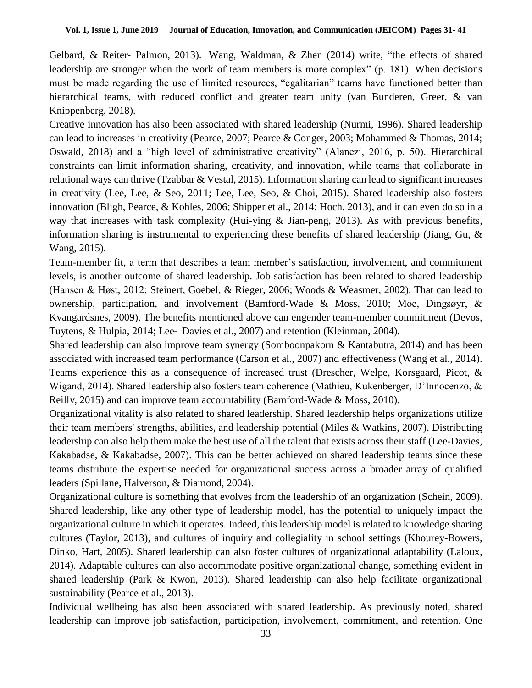Gelbard, & Reiter‐ Palmon, 2013). Wang, Waldman, & Zhen (2014) write, "the effects of shared leadership are stronger when the work of team members is more complex" (p. 181). When decisions must be made regarding the use of limited resources, "egalitarian" teams have functioned better than hierarchical teams, with reduced conflict and greater team unity (van Bunderen, Greer, & van Knippenberg, 2018).

Creative innovation has also been associated with shared leadership (Nurmi, 1996). Shared leadership can lead to increases in creativity (Pearce, 2007; Pearce & Conger, 2003; Mohammed & Thomas, 2014; Oswald, 2018) and a "high level of administrative creativity" (Alanezi, 2016, p. 50). Hierarchical constraints can limit information sharing, creativity, and innovation, while teams that collaborate in relational ways can thrive (Tzabbar & Vestal, 2015). Information sharing can lead to significant increases in creativity (Lee, Lee, & Seo, 2011; Lee, Lee, Seo, & Choi, 2015). Shared leadership also fosters innovation (Bligh, Pearce, & Kohles, 2006; Shipper et al., 2014; Hoch, 2013), and it can even do so in a way that increases with task complexity (Hui-ying  $\&$  Jian-peng, 2013). As with previous benefits, information sharing is instrumental to experiencing these benefits of shared leadership (Jiang, Gu,  $\&$ Wang, 2015).

Team-member fit, a term that describes a team member's satisfaction, involvement, and commitment levels, is another outcome of shared leadership. Job satisfaction has been related to shared leadership (Hansen & Høst, 2012; Steinert, Goebel, & Rieger, 2006; Woods & Weasmer, 2002). That can lead to ownership, participation, and involvement (Bamford-Wade & Moss, 2010; Moe, Dingsøyr, & Kvangardsnes, 2009). The benefits mentioned above can engender team-member commitment (Devos, Tuytens, & Hulpia, 2014; Lee‐ Davies et al., 2007) and retention (Kleinman, 2004).

Shared leadership can also improve team synergy (Somboonpakorn & Kantabutra, 2014) and has been associated with increased team performance (Carson et al., 2007) and effectiveness (Wang et al., 2014). Teams experience this as a consequence of increased trust (Drescher, Welpe, Korsgaard, Picot, & Wigand, 2014). Shared leadership also fosters team coherence (Mathieu, Kukenberger, D'Innocenzo, & Reilly, 2015) and can improve team accountability (Bamford-Wade & Moss, 2010).

Organizational vitality is also related to shared leadership. Shared leadership helps organizations utilize their team members' strengths, abilities, and leadership potential (Miles & Watkins, 2007). Distributing leadership can also help them make the best use of all the talent that exists across their staff (Lee-Davies, Kakabadse, & Kakabadse, 2007). This can be better achieved on shared leadership teams since these teams distribute the expertise needed for organizational success across a broader array of qualified leaders (Spillane, Halverson, & Diamond, 2004).

Organizational culture is something that evolves from the leadership of an organization (Schein, 2009). Shared leadership, like any other type of leadership model, has the potential to uniquely impact the organizational culture in which it operates. Indeed, this leadership model is related to knowledge sharing cultures (Taylor, 2013), and cultures of inquiry and collegiality in school settings (Khourey-Bowers, Dinko, Hart, 2005). Shared leadership can also foster cultures of organizational adaptability (Laloux, 2014). Adaptable cultures can also accommodate positive organizational change, something evident in shared leadership (Park & Kwon, 2013). Shared leadership can also help facilitate organizational sustainability (Pearce et al., 2013).

Individual wellbeing has also been associated with shared leadership. As previously noted, shared leadership can improve job satisfaction, participation, involvement, commitment, and retention. One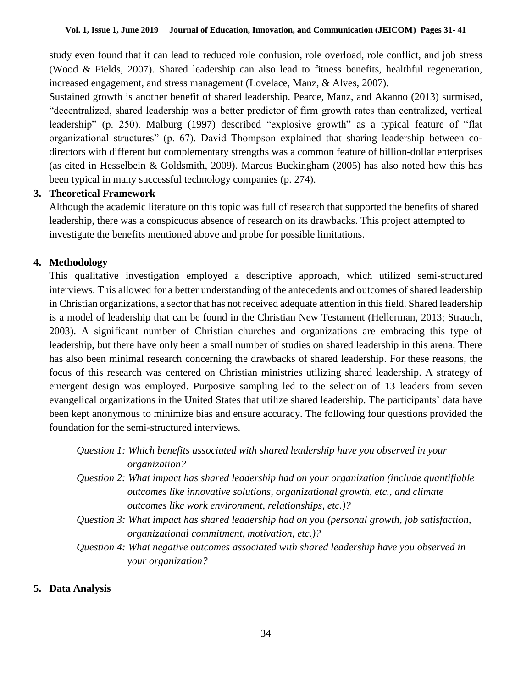study even found that it can lead to reduced role confusion, role overload, role conflict, and job stress (Wood & Fields, 2007). Shared leadership can also lead to fitness benefits, healthful regeneration, increased engagement, and stress management (Lovelace, Manz, & Alves, 2007).

Sustained growth is another benefit of shared leadership. Pearce, Manz, and Akanno (2013) surmised, "decentralized, shared leadership was a better predictor of firm growth rates than centralized, vertical leadership" (p. 250). Malburg (1997) described "explosive growth" as a typical feature of "flat organizational structures" (p. 67). David Thompson explained that sharing leadership between codirectors with different but complementary strengths was a common feature of billion-dollar enterprises (as cited in Hesselbein & Goldsmith, 2009). Marcus Buckingham (2005) has also noted how this has been typical in many successful technology companies (p. 274).

#### **3. Theoretical Framework**

Although the academic literature on this topic was full of research that supported the benefits of shared leadership, there was a conspicuous absence of research on its drawbacks. This project attempted to investigate the benefits mentioned above and probe for possible limitations.

# **4. Methodology**

This qualitative investigation employed a descriptive approach, which utilized semi-structured interviews. This allowed for a better understanding of the antecedents and outcomes of shared leadership in Christian organizations, a sector that has not received adequate attention in this field. Shared leadership is a model of leadership that can be found in the Christian New Testament (Hellerman, 2013; Strauch, 2003). A significant number of Christian churches and organizations are embracing this type of leadership, but there have only been a small number of studies on shared leadership in this arena. There has also been minimal research concerning the drawbacks of shared leadership. For these reasons, the focus of this research was centered on Christian ministries utilizing shared leadership. A strategy of emergent design was employed. Purposive sampling led to the selection of 13 leaders from seven evangelical organizations in the United States that utilize shared leadership. The participants' data have been kept anonymous to minimize bias and ensure accuracy. The following four questions provided the foundation for the semi-structured interviews.

| Question 1: Which benefits associated with shared leadership have you observed in your |  |  |
|----------------------------------------------------------------------------------------|--|--|
| organization?                                                                          |  |  |

- *Question 2: What impact has shared leadership had on your organization (include quantifiable outcomes like innovative solutions, organizational growth, etc., and climate outcomes like work environment, relationships, etc.)?*
- *Question 3: What impact has shared leadership had on you (personal growth, job satisfaction, organizational commitment, motivation, etc.)?*
- *Question 4: What negative outcomes associated with shared leadership have you observed in your organization?*

#### **5. Data Analysis**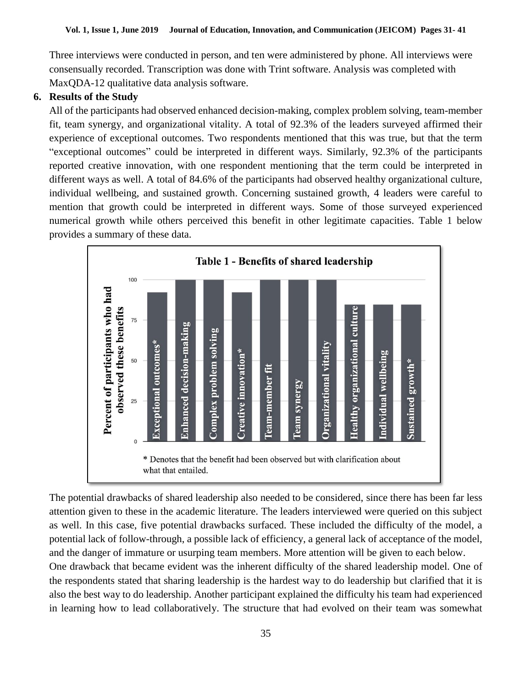Three interviews were conducted in person, and ten were administered by phone. All interviews were consensually recorded. Transcription was done with Trint software. Analysis was completed with MaxQDA-12 qualitative data analysis software.

## **6. Results of the Study**

All of the participants had observed enhanced decision-making, complex problem solving, team-member fit, team synergy, and organizational vitality. A total of 92.3% of the leaders surveyed affirmed their experience of exceptional outcomes. Two respondents mentioned that this was true, but that the term "exceptional outcomes" could be interpreted in different ways. Similarly, 92.3% of the participants reported creative innovation, with one respondent mentioning that the term could be interpreted in different ways as well. A total of 84.6% of the participants had observed healthy organizational culture, individual wellbeing, and sustained growth. Concerning sustained growth, 4 leaders were careful to mention that growth could be interpreted in different ways. Some of those surveyed experienced numerical growth while others perceived this benefit in other legitimate capacities. Table 1 below provides a summary of these data.



The potential drawbacks of shared leadership also needed to be considered, since there has been far less attention given to these in the academic literature. The leaders interviewed were queried on this subject as well. In this case, five potential drawbacks surfaced. These included the difficulty of the model, a potential lack of follow-through, a possible lack of efficiency, a general lack of acceptance of the model, and the danger of immature or usurping team members. More attention will be given to each below. One drawback that became evident was the inherent difficulty of the shared leadership model. One of the respondents stated that sharing leadership is the hardest way to do leadership but clarified that it is also the best way to do leadership. Another participant explained the difficulty his team had experienced in learning how to lead collaboratively. The structure that had evolved on their team was somewhat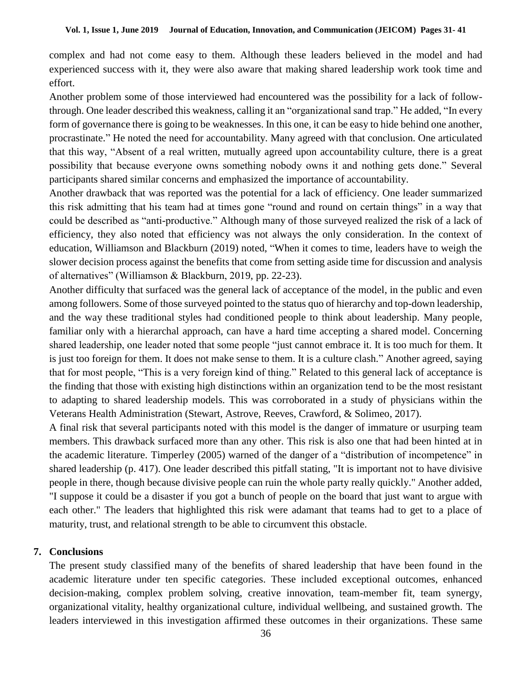complex and had not come easy to them. Although these leaders believed in the model and had experienced success with it, they were also aware that making shared leadership work took time and effort.

Another problem some of those interviewed had encountered was the possibility for a lack of followthrough. One leader described this weakness, calling it an "organizational sand trap." He added, "In every form of governance there is going to be weaknesses. In this one, it can be easy to hide behind one another, procrastinate." He noted the need for accountability. Many agreed with that conclusion. One articulated that this way, "Absent of a real written, mutually agreed upon accountability culture, there is a great possibility that because everyone owns something nobody owns it and nothing gets done." Several participants shared similar concerns and emphasized the importance of accountability.

Another drawback that was reported was the potential for a lack of efficiency. One leader summarized this risk admitting that his team had at times gone "round and round on certain things" in a way that could be described as "anti-productive." Although many of those surveyed realized the risk of a lack of efficiency, they also noted that efficiency was not always the only consideration. In the context of education, Williamson and Blackburn (2019) noted, "When it comes to time, leaders have to weigh the slower decision process against the benefits that come from setting aside time for discussion and analysis of alternatives" (Williamson & Blackburn, 2019, pp. 22-23).

Another difficulty that surfaced was the general lack of acceptance of the model, in the public and even among followers. Some of those surveyed pointed to the status quo of hierarchy and top-down leadership, and the way these traditional styles had conditioned people to think about leadership. Many people, familiar only with a hierarchal approach, can have a hard time accepting a shared model. Concerning shared leadership, one leader noted that some people "just cannot embrace it. It is too much for them. It is just too foreign for them. It does not make sense to them. It is a culture clash." Another agreed, saying that for most people, "This is a very foreign kind of thing." Related to this general lack of acceptance is the finding that those with existing high distinctions within an organization tend to be the most resistant to adapting to shared leadership models. This was corroborated in a study of physicians within the Veterans Health Administration (Stewart, Astrove, Reeves, Crawford, & Solimeo, 2017).

A final risk that several participants noted with this model is the danger of immature or usurping team members. This drawback surfaced more than any other. This risk is also one that had been hinted at in the academic literature. Timperley (2005) warned of the danger of a "distribution of incompetence" in shared leadership (p. 417). One leader described this pitfall stating, "It is important not to have divisive people in there, though because divisive people can ruin the whole party really quickly." Another added, "I suppose it could be a disaster if you got a bunch of people on the board that just want to argue with each other." The leaders that highlighted this risk were adamant that teams had to get to a place of maturity, trust, and relational strength to be able to circumvent this obstacle.

#### **7. Conclusions**

The present study classified many of the benefits of shared leadership that have been found in the academic literature under ten specific categories. These included exceptional outcomes, enhanced decision-making, complex problem solving, creative innovation, team-member fit, team synergy, organizational vitality, healthy organizational culture, individual wellbeing, and sustained growth. The leaders interviewed in this investigation affirmed these outcomes in their organizations. These same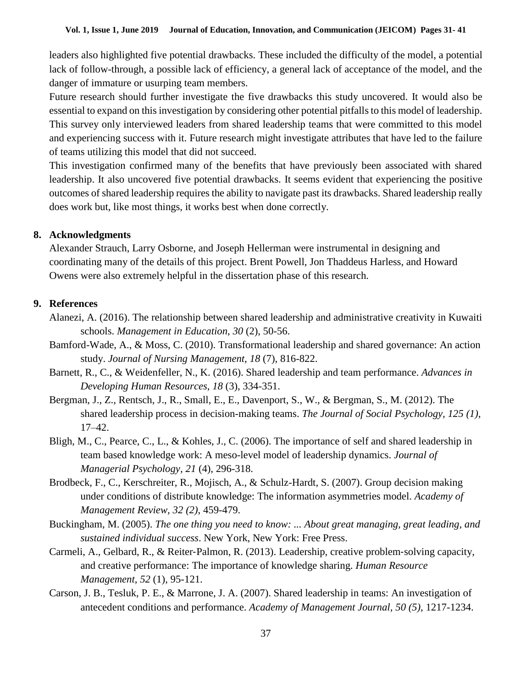leaders also highlighted five potential drawbacks. These included the difficulty of the model, a potential lack of follow-through, a possible lack of efficiency, a general lack of acceptance of the model, and the danger of immature or usurping team members.

Future research should further investigate the five drawbacks this study uncovered. It would also be essential to expand on this investigation by considering other potential pitfalls to this model of leadership. This survey only interviewed leaders from shared leadership teams that were committed to this model and experiencing success with it. Future research might investigate attributes that have led to the failure of teams utilizing this model that did not succeed.

This investigation confirmed many of the benefits that have previously been associated with shared leadership. It also uncovered five potential drawbacks. It seems evident that experiencing the positive outcomes of shared leadership requires the ability to navigate past its drawbacks. Shared leadership really does work but, like most things, it works best when done correctly.

#### **8. Acknowledgments**

Alexander Strauch, Larry Osborne, and Joseph Hellerman were instrumental in designing and coordinating many of the details of this project. Brent Powell, Jon Thaddeus Harless, and Howard Owens were also extremely helpful in the dissertation phase of this research.

# **9. References**

- Alanezi, A. (2016). The relationship between shared leadership and administrative creativity in Kuwaiti schools. *Management in Education, 30* (2), 50-56.
- Bamford-Wade, A., & Moss, C. (2010). Transformational leadership and shared governance: An action study. *Journal of Nursing Management, 18* (7), 816-822.
- Barnett, R., C., & Weidenfeller, N., K. (2016). Shared leadership and team performance. *Advances in Developing Human Resources, 18* (3), 334-351.
- Bergman, J., Z., Rentsch, J., R., Small, E., E., Davenport, S., W., & Bergman, S., M. (2012). The shared leadership process in decision-making teams. *The Journal of Social Psychology, 125 (1)*, 17–42.
- Bligh, M., C., Pearce, C., L., & Kohles, J., C. (2006). The importance of self and shared leadership in team based knowledge work: A meso-level model of leadership dynamics. *Journal of Managerial Psychology, 21* (4), 296-318.
- Brodbeck, F., C., Kerschreiter, R., Mojisch, A., & Schulz-Hardt, S. (2007). Group decision making under conditions of distribute knowledge: The information asymmetries model. *Academy of Management Review, 32 (2)*, 459-479.
- Buckingham, M. (2005). *The one thing you need to know: ... About great managing, great leading, and sustained individual success*. New York, New York: Free Press.
- Carmeli, A., Gelbard, R., & Reiter‐Palmon, R. (2013). Leadership, creative problem‐solving capacity, and creative performance: The importance of knowledge sharing. *Human Resource Management, 52* (1), 95-121.
- Carson, J. B., Tesluk, P. E., & Marrone, J. A. (2007). Shared leadership in teams: An investigation of antecedent conditions and performance. *Academy of Management Journal, 50 (5)*, 1217-1234.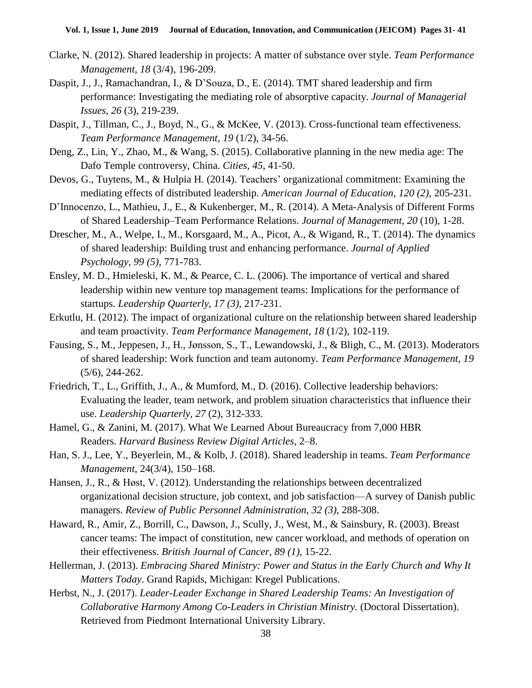- Clarke, N. (2012). Shared leadership in projects: A matter of substance over style. *Team Performance Management, 18* (3/4), 196-209.
- Daspit, J., J., Ramachandran, I., & D'Souza, D., E. (2014). TMT shared leadership and firm performance: Investigating the mediating role of absorptive capacity. *Journal of Managerial Issues, 26* (3), 219-239.
- Daspit, J., Tillman, C., J., Boyd, N., G., & McKee, V. (2013). Cross-functional team effectiveness. *Team Performance Management, 19* (1/2), 34-56.
- Deng, Z., Lin, Y., Zhao, M., & Wang, S. (2015). Collaborative planning in the new media age: The Dafo Temple controversy, China. *Cities, 45*, 41-50.
- Devos, G., Tuytens, M., & Hulpia H. (2014). Teachers' organizational commitment: Examining the mediating effects of distributed leadership. *American Journal of Education, 120 (2)*, 205-231.
- D'Innocenzo, L., Mathieu, J., E., & Kukenberger, M., R. (2014). A Meta-Analysis of Different Forms of Shared Leadership–Team Performance Relations. *Journal of Management, 20* (10), 1-28.
- Drescher, M., A., Welpe, I., M., Korsgaard, M., A., Picot, A., & Wigand, R., T. (2014). The dynamics of shared leadership: Building trust and enhancing performance. *Journal of Applied Psychology, 99 (5)*, 771-783.
- Ensley, M. D., Hmieleski, K. M., & Pearce, C. L. (2006). The importance of vertical and shared leadership within new venture top management teams: Implications for the performance of startups. *Leadership Quarterly, 17 (3)*, 217-231.
- Erkutlu, H. (2012). The impact of organizational culture on the relationship between shared leadership and team proactivity. *Team Performance Management, 18* (1/2), 102-119.
- Fausing, S., M., Jeppesen, J., H., Jønsson, S., T., Lewandowski, J., & Bligh, C., M. (2013). Moderators of shared leadership: Work function and team autonomy. *Team Performance Management, 19* (5/6), 244-262.
- Friedrich, T., L., Griffith, J., A., & Mumford, M., D. (2016). Collective leadership behaviors: Evaluating the leader, team network, and problem situation characteristics that influence their use. *Leadership Quarterly, 27* (2), 312-333.
- Hamel, G., & Zanini, M. (2017). What We Learned About Bureaucracy from 7,000 HBR Readers. *Harvard Business Review Digital Articles*, 2–8.
- Han, S. J., Lee, Y., Beyerlein, M., & Kolb, J. (2018). Shared leadership in teams. *Team Performance Management*, 24(3/4), 150–168.
- Hansen, J., R., & Høst, V. (2012). Understanding the relationships between decentralized organizational decision structure, job context, and job satisfaction—A survey of Danish public managers. *Review of Public Personnel Administration, 32 (3)*, 288-308.
- Haward, R., Amir, Z., Borrill, C., Dawson, J., Scully, J., West, M., & Sainsbury, R. (2003). Breast cancer teams: The impact of constitution, new cancer workload, and methods of operation on their effectiveness. *British Journal of Cancer, 89 (1)*, 15-22.
- Hellerman, J. (2013). *Embracing Shared Ministry: Power and Status in the Early Church and Why It Matters Today*. Grand Rapids, Michigan: Kregel Publications.
- Herbst, N., J. (2017). *Leader-Leader Exchange in Shared Leadership Teams: An Investigation of Collaborative Harmony Among Co-Leaders in Christian Ministry.* (Doctoral Dissertation). Retrieved from Piedmont International University Library.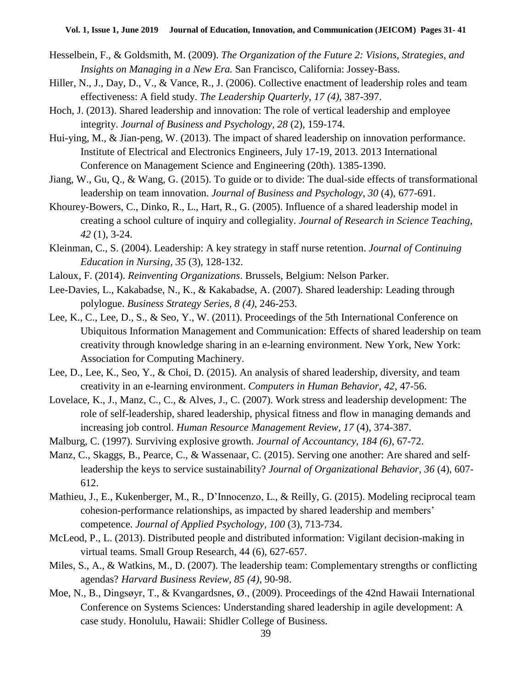- Hesselbein, F., & Goldsmith, M. (2009). *The Organization of the Future 2: Visions, Strategies, and Insights on Managing in a New Era.* San Francisco, California: Jossey-Bass.
- Hiller, N., J., Day, D., V., & Vance, R., J. (2006). Collective enactment of leadership roles and team effectiveness: A field study. *The Leadership Quarterly, 17 (4),* 387-397.
- Hoch, J. (2013). Shared leadership and innovation: The role of vertical leadership and employee integrity. *Journal of Business and Psychology, 28* (2), 159-174.
- Hui-ying, M., & Jian-peng, W. (2013). The impact of shared leadership on innovation performance. Institute of Electrical and Electronics Engineers, July 17-19, 2013. 2013 International Conference on Management Science and Engineering (20th). 1385-1390.
- Jiang, W., Gu, Q., & Wang, G. (2015). To guide or to divide: The dual-side effects of transformational leadership on team innovation. *Journal of Business and Psychology, 30* (4), 677-691.
- Khourey-Bowers, C., Dinko, R., L., Hart, R., G. (2005). Influence of a shared leadership model in creating a school culture of inquiry and collegiality. *Journal of Research in Science Teaching, 42* (1), 3-24.
- Kleinman, C., S. (2004). Leadership: A key strategy in staff nurse retention. *Journal of Continuing Education in Nursing, 35* (3), 128-132.
- Laloux, F. (2014). *Reinventing Organizations*. Brussels, Belgium: Nelson Parker.
- Lee-Davies, L., Kakabadse, N., K., & Kakabadse, A. (2007). Shared leadership: Leading through polylogue. *Business Strategy Series, 8 (4)*, 246-253.
- Lee, K., C., Lee, D., S., & Seo, Y., W. (2011). Proceedings of the 5th International Conference on Ubiquitous Information Management and Communication: Effects of shared leadership on team creativity through knowledge sharing in an e-learning environment. New York, New York: Association for Computing Machinery.
- Lee, D., Lee, K., Seo, Y., & Choi, D. (2015). An analysis of shared leadership, diversity, and team creativity in an e-learning environment. *Computers in Human Behavior, 42*, 47-56.
- Lovelace, K., J., Manz, C., C., & Alves, J., C. (2007). Work stress and leadership development: The role of self-leadership, shared leadership, physical fitness and flow in managing demands and increasing job control. *Human Resource Management Review, 17* (4), 374-387.
- Malburg, C. (1997). Surviving explosive growth. *Journal of Accountancy, 184 (6)*, 67-72.
- Manz, C., Skaggs, B., Pearce, C., & Wassenaar, C. (2015). Serving one another: Are shared and selfleadership the keys to service sustainability? *Journal of Organizational Behavior, 36* (4), 607- 612.
- Mathieu, J., E., Kukenberger, M., R., D'Innocenzo, L., & Reilly, G. (2015). Modeling reciprocal team cohesion-performance relationships, as impacted by shared leadership and members' competence. *Journal of Applied Psychology, 100* (3), 713-734.
- McLeod, P., L. (2013). Distributed people and distributed information: Vigilant decision-making in virtual teams. Small Group Research, 44 (6), 627-657.
- Miles, S., A., & Watkins, M., D. (2007). The leadership team: Complementary strengths or conflicting agendas? *Harvard Business Review, 85 (4)*, 90-98.
- Moe, N., B., Dingsøyr, T., & Kvangardsnes, Ø., (2009). Proceedings of the 42nd Hawaii International Conference on Systems Sciences: Understanding shared leadership in agile development: A case study. Honolulu, Hawaii: Shidler College of Business.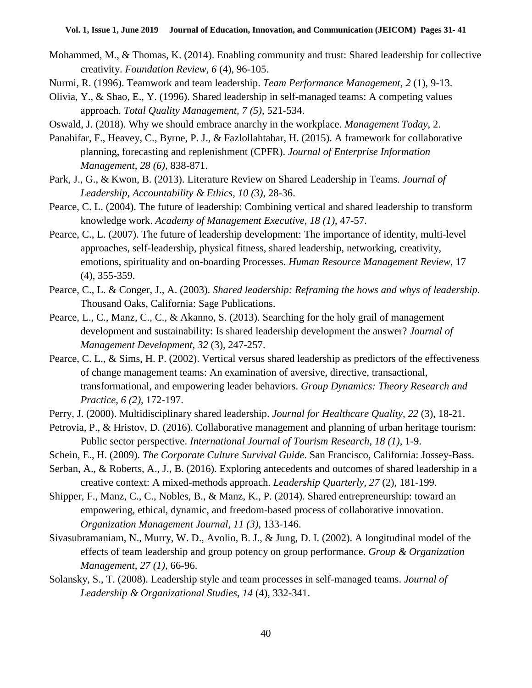- Mohammed, M., & Thomas, K. (2014). Enabling community and trust: Shared leadership for collective creativity. *Foundation Review, 6* (4), 96-105.
- Nurmi, R. (1996). Teamwork and team leadership. *Team Performance Management, 2* (1), 9-13.
- Olivia, Y., & Shao, E., Y. (1996). Shared leadership in self-managed teams: A competing values approach. *Total Quality Management, 7 (5)*, 521-534.
- Oswald, J. (2018). Why we should embrace anarchy in the workplace. *Management Today*, 2.
- Panahifar, F., Heavey, C., Byrne, P. J., & Fazlollahtabar, H. (2015). A framework for collaborative planning, forecasting and replenishment (CPFR). *Journal of Enterprise Information Management, 28 (6)*, 838-871.
- Park, J., G., & Kwon, B. (2013). Literature Review on Shared Leadership in Teams. *Journal of Leadership, Accountability & Ethics, 10 (3)*, 28-36.
- Pearce, C. L. (2004). The future of leadership: Combining vertical and shared leadership to transform knowledge work. *Academy of Management Executive, 18 (1)*, 47-57.
- Pearce, C., L. (2007). The future of leadership development: The importance of identity, multi-level approaches, self-leadership, physical fitness, shared leadership, networking, creativity, emotions, spirituality and on-boarding Processes. *Human Resource Management Review*, 17 (4), 355-359.
- Pearce, C., L. & Conger, J., A. (2003). *Shared leadership: Reframing the hows and whys of leadership.* Thousand Oaks, California: Sage Publications.
- Pearce, L., C., Manz, C., C., & Akanno, S. (2013). Searching for the holy grail of management development and sustainability: Is shared leadership development the answer? *Journal of Management Development, 32* (3), 247-257.
- Pearce, C. L., & Sims, H. P. (2002). Vertical versus shared leadership as predictors of the effectiveness of change management teams: An examination of aversive, directive, transactional, transformational, and empowering leader behaviors. *Group Dynamics: Theory Research and Practice, 6 (2)*, 172-197.
- Perry, J. (2000). Multidisciplinary shared leadership. *Journal for Healthcare Quality, 22* (3), 18-21.
- Petrovia, P., & Hristov, D. (2016). Collaborative management and planning of urban heritage tourism: Public sector perspective. *International Journal of Tourism Research, 18 (1)*, 1-9.
- Schein, E., H. (2009). *The Corporate Culture Survival Guide*. San Francisco, California: Jossey-Bass.
- Serban, A., & Roberts, A., J., B. (2016). Exploring antecedents and outcomes of shared leadership in a creative context: A mixed-methods approach. *Leadership Quarterly, 27* (2), 181-199.
- Shipper, F., Manz, C., C., Nobles, B., & Manz, K., P. (2014). Shared entrepreneurship: toward an empowering, ethical, dynamic, and freedom-based process of collaborative innovation. *Organization Management Journal, 11 (3)*, 133-146.
- Sivasubramaniam, N., Murry, W. D., Avolio, B. J., & Jung, D. I. (2002). A longitudinal model of the effects of team leadership and group potency on group performance. *Group & Organization Management, 27 (1)*, 66-96.
- Solansky, S., T. (2008). Leadership style and team processes in self-managed teams. *Journal of Leadership & Organizational Studies, 14* (4), 332-341.